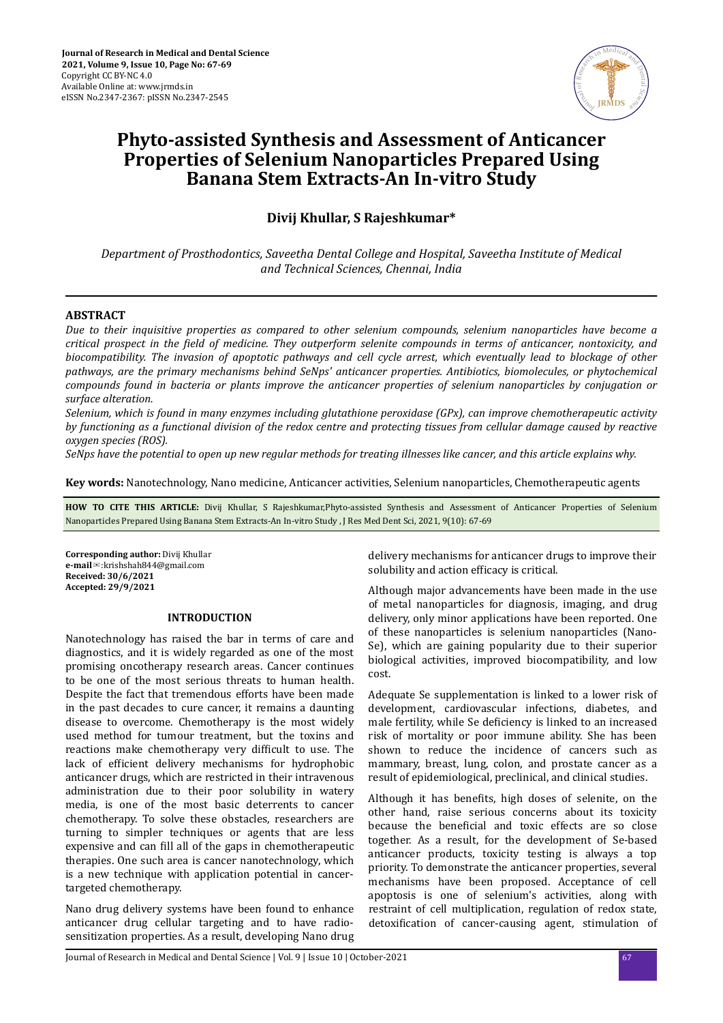

# **Phyto-assisted Synthesis and Assessment of Anticancer Properties of Selenium Nanoparticles Prepared Using Banana Stem Extracts-An In-vitro Study**

# **Divij Khullar, S Rajeshkumar\***

*Department of Prosthodontics, Saveetha Dental College and Hospital, Saveetha Institute of Medical and Technical Sciences, Chennai, India*

## **ABSTRACT**

*Due to their inquisitive properties as compared to other selenium compounds, selenium nanoparticles have become a critical prospect in the ϔed of medicine. They outperform selenite compounds in terms of anticancer, nontoxicity, and biocompatibility. The invasion of apoptotic pathways and cell cycle arrest, which eventually lead to blockage of other pathways, are the primary mechanisms behind SeNps' anticancer properties. Antibiotics, biomolecules, or phytochemical compounds found in bacteria or plants improve the anticancer properties of selenium nanoparticles by conjugation or surface alteration.*

*Selenium, which is found in many enzymes including glutathione peroxidase (GPx), can improve chemotherapeutic activity by functioning as a functional division of the redox centre and protecting tissues from cellular damage caused by reactive oxygen species (ROS).*

*SeNps have the potential to open up new regular methods for treating illnesses like cancer, and this article explains why.*

**Key words:** Nanotechnology, Nano medicine, Anticancer activities, Selenium nanoparticles, Chemotherapeutic agents

**HOW TO CITE THIS ARTICLE:** Divij Khullar, S Rajeshkumar,Phyto-assisted Synthesis and Assessment of Anticancer Properties of Selenium Nanoparticles Prepared Using Banana Stem Extracts-An In-vitro Study , J Res Med Dent Sci, 2021, 9(10): 67-69

**Corresponding author:** Divij Khullar **e-mail**✉:krishshah844@gmail.com **Received: 30/6/2021 Accepted: 29/9/2021** 

# **INTRODUCTION**

Nanotechnology has raised the bar in terms of care and diagnostics, and it is widely regarded as one of the most promising oncotherapy research areas. Cancer continues to be one of the most serious threats to human health. Despite the fact that tremendous efforts have been made in the past decades to cure cancer, it remains a daunting disease to overcome. Chemotherapy is the most widely used method for tumour treatment, but the toxins and reactions make chemotherapy very difficult to use. The lack of efficient delivery mechanisms for hydrophobic anticancer drugs, which are restricted in their intravenous administration due to their poor solubility in watery media, is one of the most basic deterrents to cancer chemotherapy. To solve these obstacles, researchers are turning to simpler techniques or agents that are less expensive and can fill all of the gaps in chemotherapeutic therapies. One such area is cancer nanotechnology, which is a new technique with application potential in cancertargeted chemotherapy.

Nano drug delivery systems have been found to enhance anticancer drug cellular targeting and to have radiosensitization properties. As a result, developing Nano drug delivery mechanisms for anticancer drugs to improve their solubility and action efficacy is critical.

Although major advancements have been made in the use of metal nanoparticles for diagnosis, imaging, and drug delivery, only minor applications have been reported. One of these nanoparticles is selenium nanoparticles (Nano-Se), which are gaining popularity due to their superior biological activities, improved biocompatibility, and low cost.

Adequate Se supplementation is linked to a lower risk of development, cardiovascular infections, diabetes, and male fertility, while Se deficiency is linked to an increased risk of mortality or poor immune ability. She has been shown to reduce the incidence of cancers such as mammary, breast, lung, colon, and prostate cancer as a result of epidemiological, preclinical, and clinical studies.

Although it has benefits, high doses of selenite, on the other hand, raise serious concerns about its toxicity because the beneficial and toxic effects are so close together. As a result, for the development of Se-based anticancer products, toxicity testing is always a top priority. To demonstrate the anticancer properties, several mechanisms have been proposed. Acceptance of cell apoptosis is one of selenium's activities, along with restraint of cell multiplication, regulation of redox state, detoxification of cancer-causing agent, stimulation of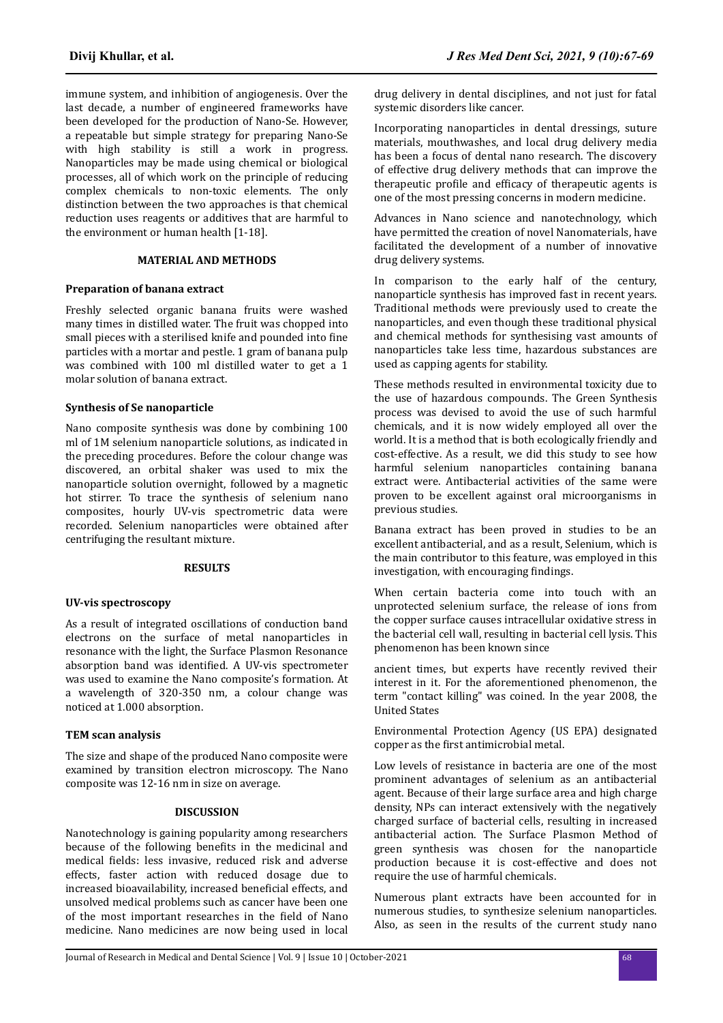immune system, and inhibition of angiogenesis. Over the last decade, a number of engineered frameworks have been developed for the production of Nano-Se. However, a repeatable but simple strategy for preparing Nano-Se with high stability is still a work in progress. Nanoparticles may be made using chemical or biological processes, all of which work on the principle of reducing complex chemicals to non-toxic elements. The only distinction between the two approaches is that chemical reduction uses reagents or additives that are harmful to the environment or human health [1-18].

# **MATERIAL AND METHODS**

#### **Preparation of banana extract**

Freshly selected organic banana fruits were washed many times in distilled water. The fruit was chopped into small pieces with a sterilised knife and pounded into fine particles with a mortar and pestle. 1 gram of banana pulp was combined with 100 ml distilled water to get a 1 molar solution of banana extract.

#### **Synthesis of Se nanoparticle**

Nano composite synthesis was done by combining 100 ml of 1M selenium nanoparticle solutions, as indicated in the preceding procedures. Before the colour change was discovered, an orbital shaker was used to mix the nanoparticle solution overnight, followed by a magnetic hot stirrer. To trace the synthesis of selenium nano composites, hourly UV-vis spectrometric data were recorded. Selenium nanoparticles were obtained after centrifuging the resultant mixture.

# **RESULTS**

#### **UV-vis spectroscopy**

As a result of integrated oscillations of conduction band electrons on the surface of metal nanoparticles in resonance with the light, the Surface Plasmon Resonance absorption band was identified. A UV-vis spectrometer was used to examine the Nano composite's formation. At a wavelength of 320-350 nm, a colour change was noticed at 1.000 absorption.

#### **TEM scan analysis**

The size and shape of the produced Nano composite were examined by transition electron microscopy. The Nano composite was 12-16 nm in size on average.

## **DISCUSSION**

Nanotechnology is gaining popularity among researchers because of the following benefits in the medicinal and medical fields: less invasive, reduced risk and adverse effects, faster action with reduced dosage due to increased bioavailability, increased beneficial effects, and unsolved medical problems such as cancer have been one of the most important researches in the field of Nano medicine. Nano medicines are now being used in local drug delivery in dental disciplines, and not just for fatal systemic disorders like cancer.

Incorporating nanoparticles in dental dressings, suture materials, mouthwashes, and local drug delivery media has been a focus of dental nano research. The discovery of effective drug delivery methods that can improve the therapeutic profile and efficacy of therapeutic agents is one of the most pressing concerns in modern medicine.

Advances in Nano science and nanotechnology, which have permitted the creation of novel Nanomaterials, have facilitated the development of a number of innovative drug delivery systems.

In comparison to the early half of the century, nanoparticle synthesis has improved fast in recent years. Traditional methods were previously used to create the nanoparticles, and even though these traditional physical and chemical methods for synthesising vast amounts of nanoparticles take less time, hazardous substances are used as capping agents for stability.

These methods resulted in environmental toxicity due to the use of hazardous compounds. The Green Synthesis process was devised to avoid the use of such harmful chemicals, and it is now widely employed all over the world. It is a method that is both ecologically friendly and cost-effective. As a result, we did this study to see how harmful selenium nanoparticles containing banana extract were. Antibacterial activities of the same were proven to be excellent against oral microorganisms in previous studies.

Banana extract has been proved in studies to be an excellent antibacterial, and as a result, Selenium, which is the main contributor to this feature, was employed in this investigation, with encouraging findings.

When certain bacteria come into touch with an unprotected selenium surface, the release of ions from the copper surface causes intracellular oxidative stress in the bacterial cell wall, resulting in bacterial cell lysis. This phenomenon has been known since

ancient times, but experts have recently revived their interest in it. For the aforementioned phenomenon, the term "contact killing" was coined. In the year 2008, the United States

Environmental Protection Agency (US EPA) designated copper as the first antimicrobial metal.

Low levels of resistance in bacteria are one of the most prominent advantages of selenium as an antibacterial agent. Because of their large surface area and high charge density, NPs can interact extensively with the negatively charged surface of bacterial cells, resulting in increased antibacterial action. The Surface Plasmon Method of green synthesis was chosen for the nanoparticle production because it is cost-effective and does not require the use of harmful chemicals.

Numerous plant extracts have been accounted for in numerous studies, to synthesize selenium nanoparticles. Also, as seen in the results of the current study nano